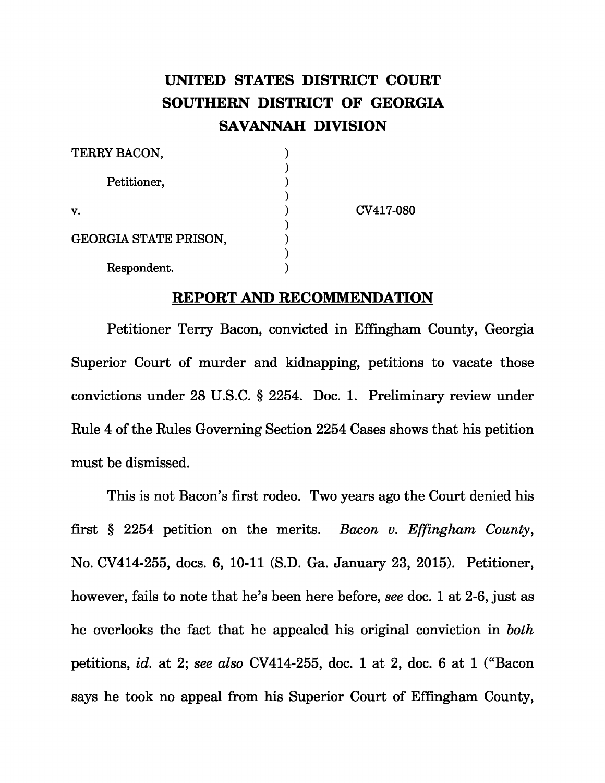## **UNITED STATES DISTRICT COURT SOUTHERN DISTRICT OF GEORGIA SAVANNAH DIVISION**

| TERRY BACON,                 |           |
|------------------------------|-----------|
| Petitioner,                  |           |
| v.                           | CV417-080 |
| <b>GEORGIA STATE PRISON,</b> |           |
| Respondent.                  |           |

## **REPORT AND RECOMMENDATION**

Petitioner Terry Bacon, convicted in Effingham County, Georgia Superior Court of murder and kidnapping, petitions to vacate those convictions under 28 U.S.C. § 2254. Doc. 1. Preliminary review under Rule 4 of the Rules Governing Section 2254 Cases shows that his petition must be dismissed.

This is not Bacon's first rodeo. Two years ago the Court denied his first § 2254 petition on the merits. *Bacon v. Effingham County* , No. CV414-255, docs. 6, 10-11 (S.D. Ga. January 23, 2015). Petitioner, however, fails to note that he's been here before, *see* doc. 1 at 2-6, just as he overlooks the fact that he appealed his original conviction in *both*  petitions, *id.* at 2; *see also* CV414-255, doc. 1 at 2, doc. 6 at 1 ("Bacon says he took no appeal from his Superior Court of Effingham County,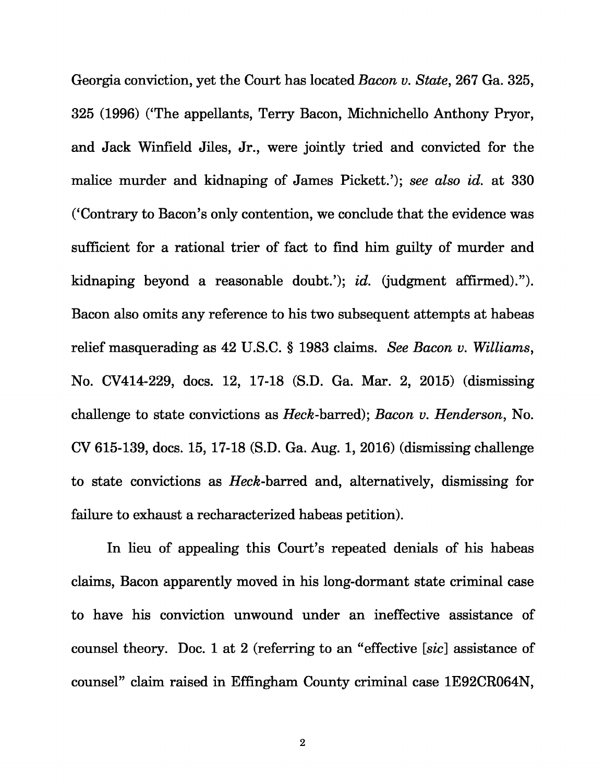Georgia conviction, yet the Court has located *Bacon v. State*, 267 Ga. 325, 325 (1996) ('The appellants, Terry Bacon, Michnichello Anthony Pryor, and Jack Winfield Jiles, Jr., were jointly tried and convicted for the malice murder and kidnaping of James Pickett.'); *see also id.* at 330 ('Contrary to Bacon's only contention, we conclude that the evidence was sufficient for a rational trier of fact to find him guilty of murder and kidnaping beyond a reasonable doubt.'); *id.* (judgment affirmed)."). Bacon also omits any reference to his two subsequent attempts at habeas relief masquerading as 42 U.S.C. § 1983 claims. *See Bacon v. Williams* , No. CV414-229, docs. 12, 17-18 (S.D. Ga. Mar. 2, 2015) (dismissing challenge to state convictions as *Heck*-barred); *Bacon v. Henderson*, No. CV 615-139, docs. 15, 17-18 (S.D. Ga. Aug. 1, 2016) (dismissing challenge to state convictions as *Heck* -barred and, alternatively, dismissing for failure to exhaust a recharacterized habeas petition).

In lieu of appealing this Court's repeated denials of his habeas claims, Bacon apparently moved in his long-dormant state criminal case to have his conviction unwound under an ineffective assistance of counsel theory. Doc. 1 at 2 (referring to an "effective [ *sic*] assistance of counsel" claim raised in Effingham County criminal case 1E92CR064N,

 $\bf 2$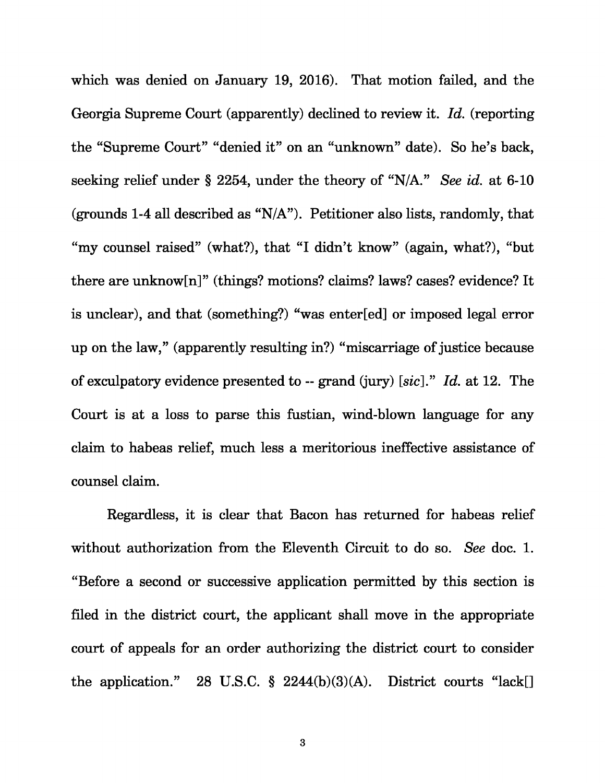which was denied on January 19, 2016). That motion failed, and the Georgia Supreme Court (apparently) declined to review it. *Id.* (reporting the "Supreme Court" "denied it" on an "unknown" date). So he's back, seeking relief under § 2254, under the theory of "N/A." *See id.* at 6-10 (grounds 1-4 all described as "N/A"). Petitioner also lists, randomly, that "my counsel raised" (what?), that "I didn't know" (again, what?), "but there are unknow[n]" (things? motions? claims? laws? cases? evidence? It is unclear), and that (something?) "was enter[ed] or imposed legal error up on the law," (apparently resulting in?) "miscarriage of justice because of exculpatory evidence presented to -- grand (jury) [ *sic*]." *Id.* at 12. The Court is at a loss to parse this fustian, wind-blown language for any claim to habeas relief, much less a meritorious ineffective assistance of counsel claim.

Regardless, it is clear that Bacon has returned for habeas relief without authorization from the Eleventh Circuit to do so. *See* doc. 1. "Before a second or successive application permitted by this section is filed in the district court, the applicant shall move in the appropriate court of appeals for an order authorizing the district court to consider the application." 28 U.S.C. § 2244(b)(3)(A). District courts "lack[]

3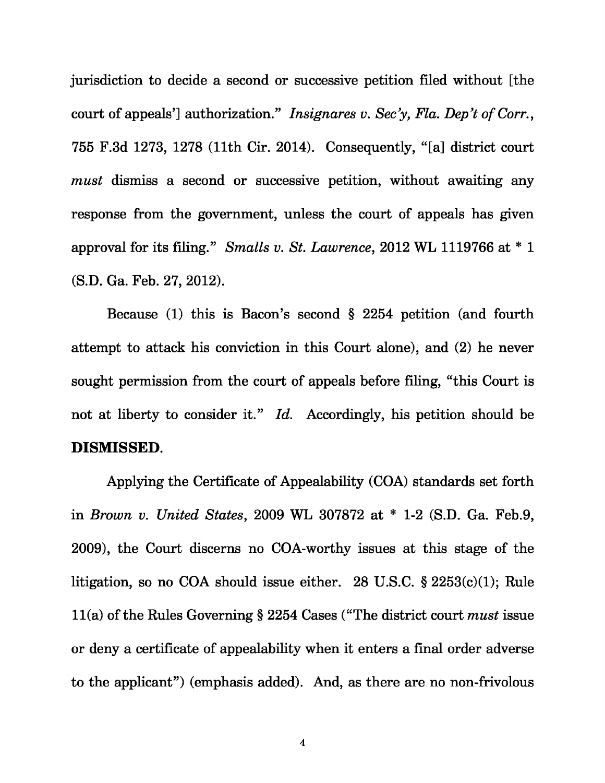jurisdiction to decide a second or successive petition filed without [the court of appeals'] authorization." *Insignares v. Sec'y, Fla. Dep't of Corr.* , 755 F.3d 1273, 1278 (11th Cir. 2014). Consequently, "[a] district court *must* dismiss a second or successive petition, without awaiting any response from the government, unless the court of appeals has given approval for its filing." *Smalls v. St. Lawrence* , 2012 WL 1119766 at \* 1 (S.D. Ga. Feb. 27, 2012).

Because (1) this is Bacon's second § 2254 petition (and fourth attempt to attack his conviction in this Court alone), and (2) he never sought permission from the court of appeals before filing, "this Court is not at liberty to consider it." *Id.* Accordingly, his petition should be **DISMISSED**.

Applying the Certificate of Appealability (COA) standards set forth in *Brown v. United States* , 2009 WL 307872 at \* 1-2 (S.D. Ga. Feb.9, 2009), the Court discerns no COA-worthy issues at this stage of the litigation, so no COA should issue either. 28 U.S.C. § 2253(c)(1); Rule 11(a) of the Rules Governing § 2254 Cases ("The district court *must* issue or deny a certificate of appealability when it enters a final order adverse to the applicant") (emphasis added). And, as there are no non-frivolous